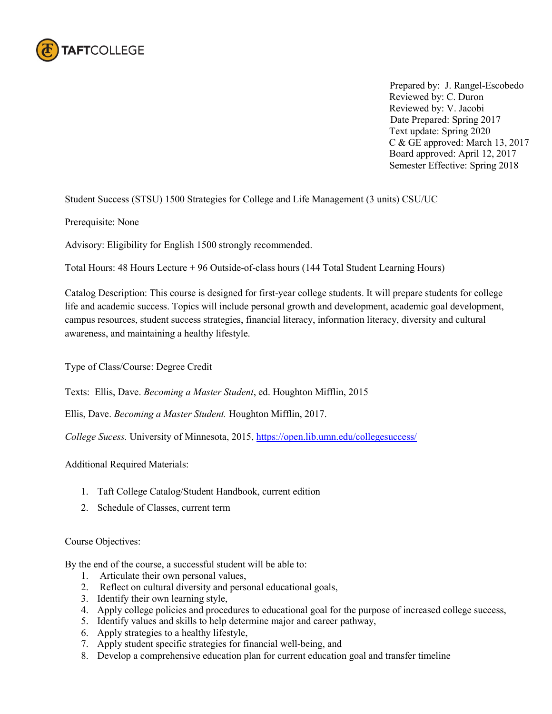

 Prepared by: J. Rangel-Escobedo Reviewed by: C. Duron Reviewed by: V. Jacobi Date Prepared: Spring 2017 Text update: Spring 2020 C & GE approved: March 13, 2017 Board approved: April 12, 2017 Semester Effective: Spring 2018

## Student Success (STSU) 1500 Strategies for College and Life Management (3 units) CSU/UC

Prerequisite: None

Advisory: Eligibility for English 1500 strongly recommended.

Total Hours: 48 Hours Lecture + 96 Outside-of-class hours (144 Total Student Learning Hours)

Catalog Description: This course is designed for first-year college students. It will prepare students for college life and academic success. Topics will include personal growth and development, academic goal development, campus resources, student success strategies, financial literacy, information literacy, diversity and cultural awareness, and maintaining a healthy lifestyle.

Type of Class/Course: Degree Credit

Texts: Ellis, Dave. *Becoming a Master Student*, ed. Houghton Mifflin, 2015

Ellis, Dave. *Becoming a Master Student.* Houghton Mifflin, 2017.

*College Sucess.* University of Minnesota, 2015,<https://open.lib.umn.edu/collegesuccess/>

Additional Required Materials:

- 1. Taft College Catalog/Student Handbook, current edition
- 2. Schedule of Classes, current term

### Course Objectives:

By the end of the course, a successful student will be able to:

- 1. Articulate their own personal values,
- 2. Reflect on cultural diversity and personal educational goals,
- 3. Identify their own learning style,
- 4. Apply college policies and procedures to educational goal for the purpose of increased college success,
- 5. Identify values and skills to help determine major and career pathway,
- 6. Apply strategies to a healthy lifestyle,
- 7. Apply student specific strategies for financial well-being, and
- 8. Develop a comprehensive education plan for current education goal and transfer timeline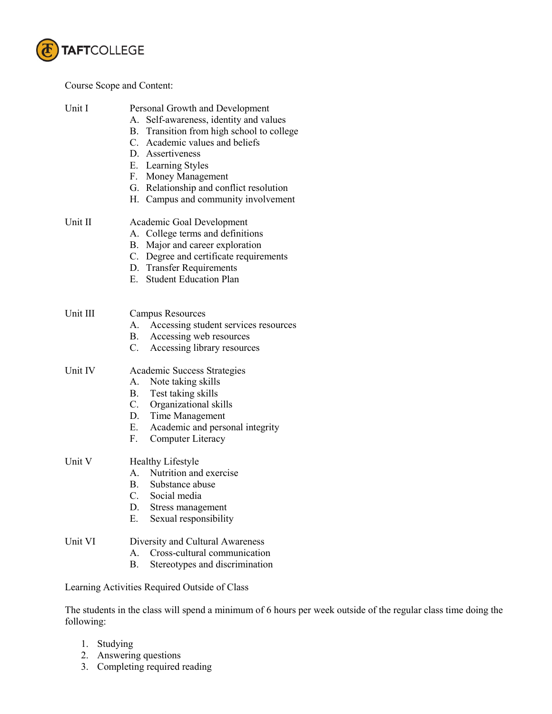

# Course Scope and Content:

| Unit I   | Personal Growth and Development<br>Self-awareness, identity and values<br>А.<br>B. Transition from high school to college<br>C. Academic values and beliefs<br>D. Assertiveness<br>E. Learning Styles<br>F. Money Management<br>G. Relationship and conflict resolution<br>H. Campus and community involvement |
|----------|----------------------------------------------------------------------------------------------------------------------------------------------------------------------------------------------------------------------------------------------------------------------------------------------------------------|
| Unit II  | Academic Goal Development<br>A. College terms and definitions<br>B. Major and career exploration<br>C. Degree and certificate requirements<br>D. Transfer Requirements<br>E. Student Education Plan                                                                                                            |
| Unit III | <b>Campus Resources</b><br>Accessing student services resources<br>А.<br>B. Accessing web resources<br>C. Accessing library resources                                                                                                                                                                          |
| Unit IV  | <b>Academic Success Strategies</b><br>A. Note taking skills<br>B. Test taking skills<br>C. Organizational skills<br>D. Time Management<br>E. Academic and personal integrity<br>F.<br>Computer Literacy                                                                                                        |
| Unit V   | <b>Healthy Lifestyle</b><br>A. Nutrition and exercise<br>B. Substance abuse<br>C.<br>Social media<br>D.<br>Stress management<br>Sexual responsibility<br>Е.                                                                                                                                                    |
| Unit VI  | Diversity and Cultural Awareness<br>Cross-cultural communication<br>$\mathsf{A}$ .<br>Stereotypes and discrimination<br>Β.                                                                                                                                                                                     |
|          | Learning Activities Required Outside of Class                                                                                                                                                                                                                                                                  |

The students in the class will spend a minimum of 6 hours per week outside of the regular class time doing the following:

- 1. Studying
- 2. Answering questions
- 3. Completing required reading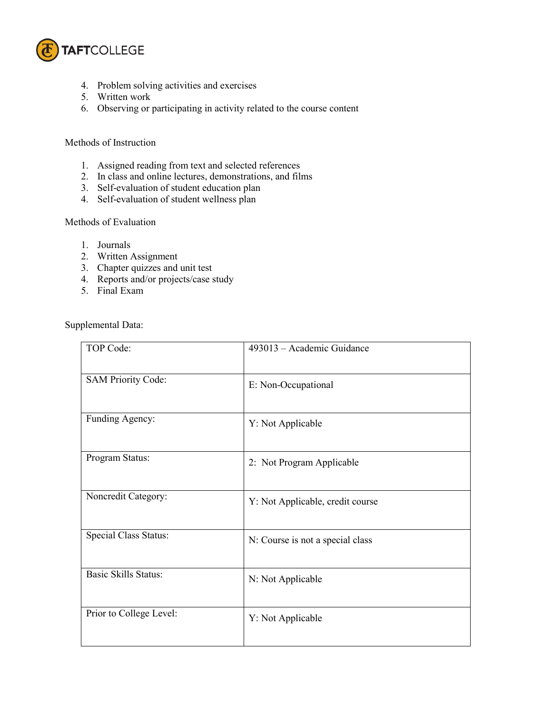

- 4. Problem solving activities and exercises
- 5. Written work
- 6. Observing or participating in activity related to the course content

### Methods of Instruction

- 1. Assigned reading from text and selected references
- 2. In class and online lectures, demonstrations, and films
- 3. Self-evaluation of student education plan
- 4. Self-evaluation of student wellness plan

### Methods of Evaluation

- 1. Journals
- 2. Written Assignment
- 3. Chapter quizzes and unit test
- 4. Reports and/or projects/case study
- 5. Final Exam

Supplemental Data:

| TOP Code:                    | 493013 - Academic Guidance       |
|------------------------------|----------------------------------|
| <b>SAM Priority Code:</b>    | E: Non-Occupational              |
| Funding Agency:              | Y: Not Applicable                |
| Program Status:              | 2: Not Program Applicable        |
| Noncredit Category:          | Y: Not Applicable, credit course |
| <b>Special Class Status:</b> | N: Course is not a special class |
| <b>Basic Skills Status:</b>  | N: Not Applicable                |
| Prior to College Level:      | Y: Not Applicable                |